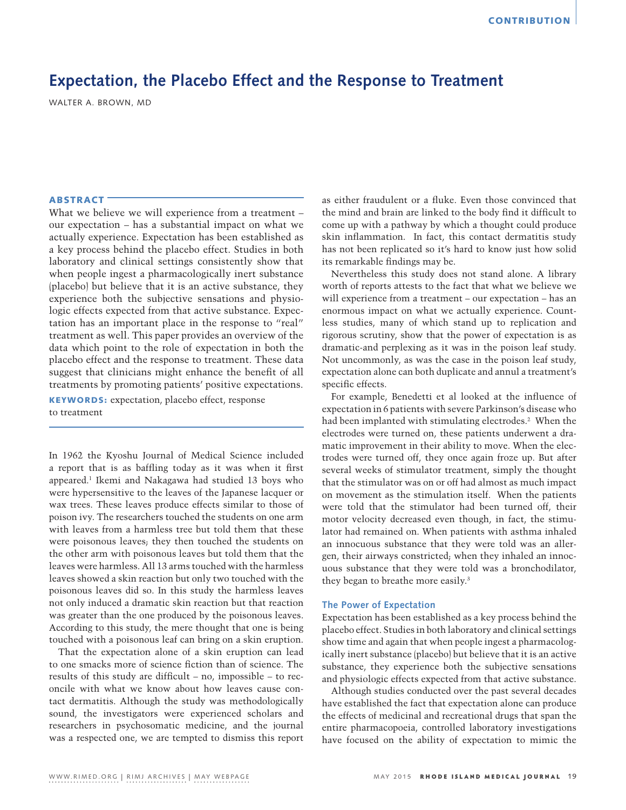# **Expectation, the Placebo Effect and the Response to Treatment**

WALTER A. BROWN, MD

# ABSTRACT

What we believe we will experience from a treatment – our expectation – has a substantial impact on what we actually experience. Expectation has been established as a key process behind the placebo effect. Studies in both laboratory and clinical settings consistently show that when people ingest a pharmacologically inert substance (placebo) but believe that it is an active substance, they experience both the subjective sensations and physiologic effects expected from that active substance. Expectation has an important place in the response to "real" treatment as well. This paper provides an overview of the data which point to the role of expectation in both the placebo effect and the response to treatment. These data suggest that clinicians might enhance the benefit of all treatments by promoting patients' positive expectations.

KEYWORDS: expectation, placebo effect, response to treatment

In 1962 the Kyoshu Journal of Medical Science included a report that is as baffling today as it was when it first appeared.1 Ikemi and Nakagawa had studied 13 boys who were hypersensitive to the leaves of the Japanese lacquer or wax trees. These leaves produce effects similar to those of poison ivy. The researchers touched the students on one arm with leaves from a harmless tree but told them that these were poisonous leaves; they then touched the students on the other arm with poisonous leaves but told them that the leaves were harmless. All 13 arms touched with the harmless leaves showed a skin reaction but only two touched with the poisonous leaves did so. In this study the harmless leaves not only induced a dramatic skin reaction but that reaction was greater than the one produced by the poisonous leaves. According to this study, the mere thought that one is being touched with a poisonous leaf can bring on a skin eruption.

That the expectation alone of a skin eruption can lead to one smacks more of science fiction than of science. The results of this study are difficult – no, impossible – to reconcile with what we know about how leaves cause contact dermatitis. Although the study was methodologically sound, the investigators were experienced scholars and researchers in psychosomatic medicine, and the journal was a respected one, we are tempted to dismiss this report

as either fraudulent or a fluke. Even those convinced that the mind and brain are linked to the body find it difficult to come up with a pathway by which a thought could produce skin inflammation. In fact, this contact dermatitis study has not been replicated so it's hard to know just how solid its remarkable findings may be.

Nevertheless this study does not stand alone. A library worth of reports attests to the fact that what we believe we will experience from a treatment – our expectation – has an enormous impact on what we actually experience. Countless studies, many of which stand up to replication and rigorous scrutiny, show that the power of expectation is as dramatic-and perplexing as it was in the poison leaf study. Not uncommonly, as was the case in the poison leaf study, expectation alone can both duplicate and annul a treatment's specific effects.

For example, Benedetti et al looked at the influence of expectation in 6 patients with severe Parkinson's disease who had been implanted with stimulating electrodes.2 When the electrodes were turned on, these patients underwent a dramatic improvement in their ability to move. When the electrodes were turned off, they once again froze up. But after several weeks of stimulator treatment, simply the thought that the stimulator was on or off had almost as much impact on movement as the stimulation itself. When the patients were told that the stimulator had been turned off, their motor velocity decreased even though, in fact, the stimulator had remained on. When patients with asthma inhaled an innocuous substance that they were told was an allergen, their airways constricted; when they inhaled an innocuous substance that they were told was a bronchodilator, they began to breathe more easily.3

## **The Power of Expectation**

Expectation has been established as a key process behind the placebo effect. Studies in both laboratory and clinical settings show time and again that when people ingest a pharmacologically inert substance (placebo) but believe that it is an active substance, they experience both the subjective sensations and physiologic effects expected from that active substance.

Although studies conducted over the past several decades have established the fact that expectation alone can produce the effects of medicinal and recreational drugs that span the entire pharmacopoeia, controlled laboratory investigations have focused on the ability of expectation to mimic the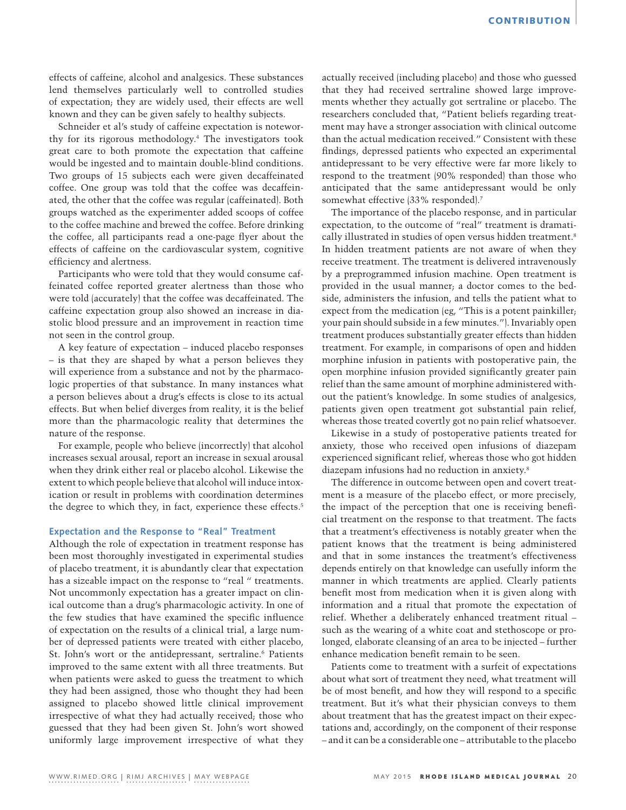effects of caffeine, alcohol and analgesics. These substances lend themselves particularly well to controlled studies of expectation; they are widely used, their effects are well known and they can be given safely to healthy subjects.

Schneider et al's study of caffeine expectation is noteworthy for its rigorous methodology.4 The investigators took great care to both promote the expectation that caffeine would be ingested and to maintain double-blind conditions. Two groups of 15 subjects each were given decaffeinated coffee. One group was told that the coffee was decaffeinated, the other that the coffee was regular (caffeinated). Both groups watched as the experimenter added scoops of coffee to the coffee machine and brewed the coffee. Before drinking the coffee, all participants read a one-page flyer about the effects of caffeine on the cardiovascular system, cognitive efficiency and alertness.

Participants who were told that they would consume caffeinated coffee reported greater alertness than those who were told (accurately) that the coffee was decaffeinated. The caffeine expectation group also showed an increase in diastolic blood pressure and an improvement in reaction time not seen in the control group.

A key feature of expectation – induced placebo responses – is that they are shaped by what a person believes they will experience from a substance and not by the pharmacologic properties of that substance. In many instances what a person believes about a drug's effects is close to its actual effects. But when belief diverges from reality, it is the belief more than the pharmacologic reality that determines the nature of the response.

For example, people who believe (incorrectly) that alcohol increases sexual arousal, report an increase in sexual arousal when they drink either real or placebo alcohol. Likewise the extent to which people believe that alcohol will induce intoxication or result in problems with coordination determines the degree to which they, in fact, experience these effects.<sup>5</sup>

# **Expectation and the Response to "Real" Treatment**

Although the role of expectation in treatment response has been most thoroughly investigated in experimental studies of placebo treatment, it is abundantly clear that expectation has a sizeable impact on the response to "real " treatments. Not uncommonly expectation has a greater impact on clinical outcome than a drug's pharmacologic activity. In one of the few studies that have examined the specific influence of expectation on the results of a clinical trial, a large number of depressed patients were treated with either placebo, St. John's wort or the antidepressant, sertraline.<sup>6</sup> Patients improved to the same extent with all three treatments. But when patients were asked to guess the treatment to which they had been assigned, those who thought they had been assigned to placebo showed little clinical improvement irrespective of what they had actually received; those who guessed that they had been given St. John's wort showed uniformly large improvement irrespective of what they

actually received (including placebo) and those who guessed that they had received sertraline showed large improvements whether they actually got sertraline or placebo. The researchers concluded that, "Patient beliefs regarding treatment may have a stronger association with clinical outcome than the actual medication received." Consistent with these findings, depressed patients who expected an experimental antidepressant to be very effective were far more likely to respond to the treatment (90% responded) than those who anticipated that the same antidepressant would be only somewhat effective (33% responded).7

The importance of the placebo response, and in particular expectation, to the outcome of "real" treatment is dramatically illustrated in studies of open versus hidden treatment.<sup>8</sup> In hidden treatment patients are not aware of when they receive treatment. The treatment is delivered intravenously by a preprogrammed infusion machine. Open treatment is provided in the usual manner; a doctor comes to the bedside, administers the infusion, and tells the patient what to expect from the medication (eg, "This is a potent painkiller; your pain should subside in a few minutes."). Invariably open treatment produces substantially greater effects than hidden treatment. For example, in comparisons of open and hidden morphine infusion in patients with postoperative pain, the open morphine infusion provided significantly greater pain relief than the same amount of morphine administered without the patient's knowledge. In some studies of analgesics, patients given open treatment got substantial pain relief, whereas those treated covertly got no pain relief whatsoever.

Likewise in a study of postoperative patients treated for anxiety, those who received open infusions of diazepam experienced significant relief, whereas those who got hidden diazepam infusions had no reduction in anxiety.8

The difference in outcome between open and covert treatment is a measure of the placebo effect, or more precisely, the impact of the perception that one is receiving beneficial treatment on the response to that treatment. The facts that a treatment's effectiveness is notably greater when the patient knows that the treatment is being administered and that in some instances the treatment's effectiveness depends entirely on that knowledge can usefully inform the manner in which treatments are applied. Clearly patients benefit most from medication when it is given along with information and a ritual that promote the expectation of relief. Whether a deliberately enhanced treatment ritual – such as the wearing of a white coat and stethoscope or prolonged, elaborate cleansing of an area to be injected – further enhance medication benefit remain to be seen.

Patients come to treatment with a surfeit of expectations about what sort of treatment they need, what treatment will be of most benefit, and how they will respond to a specific treatment. But it's what their physician conveys to them about treatment that has the greatest impact on their expectations and, accordingly, on the component of their response – and it can be a considerable one – attributable to the placebo